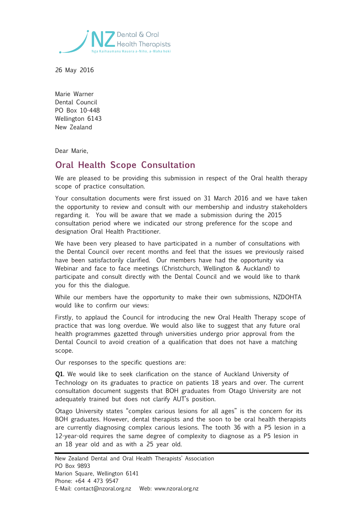

26 May 2016

Marie Warner Dental Council PO Box 10-448 Wellington 6143 New Zealand

Dear Marie,

## **Oral Health Scope Consultation**

We are pleased to be providing this submission in respect of the Oral health therapy scope of practice consultation.

Your consultation documents were first issued on 31 March 2016 and we have taken the opportunity to review and consult with our membership and industry stakeholders regarding it. You will be aware that we made a submission during the 2015 consultation period where we indicated our strong preference for the scope and designation Oral Health Practitioner.

We have been very pleased to have participated in a number of consultations with the Dental Council over recent months and feel that the issues we previously raised have been satisfactorily clarified. Our members have had the opportunity via Webinar and face to face meetings (Christchurch, Wellington & Auckland) to participate and consult directly with the Dental Council and we would like to thank you for this the dialogue.

While our members have the opportunity to make their own submissions, NZDOHTA would like to confirm our views:

Firstly, to applaud the Council for introducing the new Oral Health Therapy scope of practice that was long overdue. We would also like to suggest that any future oral health programmes gazetted through universities undergo prior approval from the Dental Council to avoid creation of a qualification that does not have a matching scope.

Our responses to the specific questions are:

**Q1.** We would like to seek clarification on the stance of Auckland University of Technology on its graduates to practice on patients 18 years and over. The current consultation document suggests that BOH graduates from Otago University are not adequately trained but does not clarify AUT's position.

Otago University states "complex carious lesions for all ages" is the concern for its BOH graduates. However, dental therapists and the soon to be oral health therapists are currently diagnosing complex carious lesions. The tooth 36 with a P5 lesion in a 12-year-old requires the same degree of complexity to diagnose as a P5 lesion in an 18 year old and as with a 25 year old.